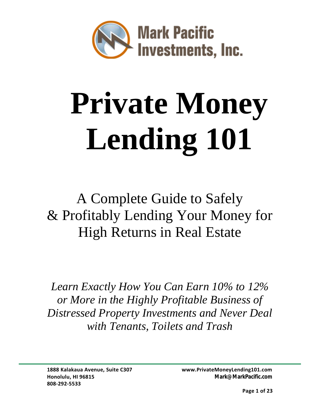

# **Private Money Lending 101**

## A Complete Guide to Safely & Profitably Lending Your Money for High Returns in Real Estate

*Learn Exactly How You Can Earn 10% to 12% or More in the Highly Profitable Business of Distressed Property Investments and Never Deal with Tenants, Toilets and Trash*

**808-292-5533**

**1888 Kalakaua Avenue, Suite C307 [www.PrivateMoneyLending101.com](http://www.pacificrimcapitalgrowth.com/) Honolulu, HI 96815 Mark@MarkPacific.com**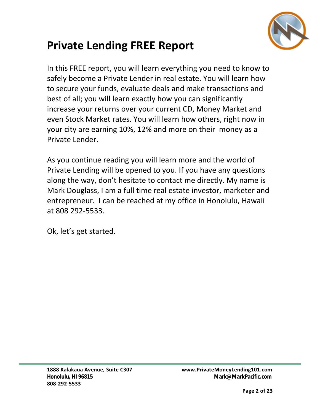

## **Private Lending FREE Report**

In this FREE report, you will learn everything you need to know to safely become a Private Lender in real estate. You will learn how to secure your funds, evaluate deals and make transactions and best of all; you will learn exactly how you can significantly increase your returns over your current CD, Money Market and even Stock Market rates. You will learn how others, right now in your city are earning 10%, 12% and more on their money as a Private Lender.

As you continue reading you will learn more and the world of Private Lending will be opened to you. If you have any questions along the way, don't hesitate to contact me directly. My name is Mark Douglass, I am a full time real estate investor, marketer and entrepreneur. I can be reached at my office in Honolulu, Hawaii at 808 292-5533.

Ok, let's get started.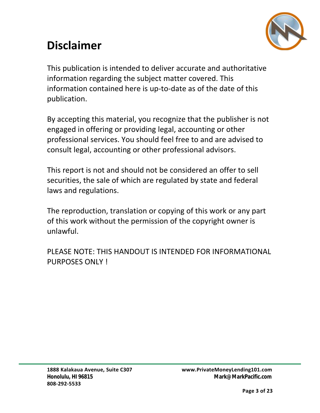## **Disclaimer**



This publication is intended to deliver accurate and authoritative information regarding the subject matter covered. This information contained here is up-to-date as of the date of this publication.

By accepting this material, you recognize that the publisher is not engaged in offering or providing legal, accounting or other professional services. You should feel free to and are advised to consult legal, accounting or other professional advisors.

This report is not and should not be considered an offer to sell securities, the sale of which are regulated by state and federal laws and regulations.

The reproduction, translation or copying of this work or any part of this work without the permission of the copyright owner is unlawful.

PLEASE NOTE: THIS HANDOUT IS INTENDED FOR INFORMATIONAL PURPOSES ONLY !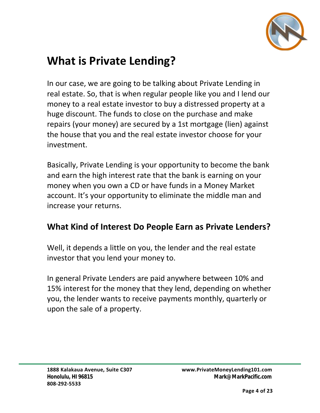

### **What is Private Lending?**

In our case, we are going to be talking about Private Lending in real estate. So, that is when regular people like you and I lend our money to a real estate investor to buy a distressed property at a huge discount. The funds to close on the purchase and make repairs (your money) are secured by a 1st mortgage (lien) against the house that you and the real estate investor choose for your investment.

Basically, Private Lending is your opportunity to become the bank and earn the high interest rate that the bank is earning on your money when you own a CD or have funds in a Money Market account. It's your opportunity to eliminate the middle man and increase your returns.

#### **What Kind of Interest Do People Earn as Private Lenders?**

Well, it depends a little on you, the lender and the real estate investor that you lend your money to.

In general Private Lenders are paid anywhere between 10% and 15% interest for the money that they lend, depending on whether you, the lender wants to receive payments monthly, quarterly or upon the sale of a property.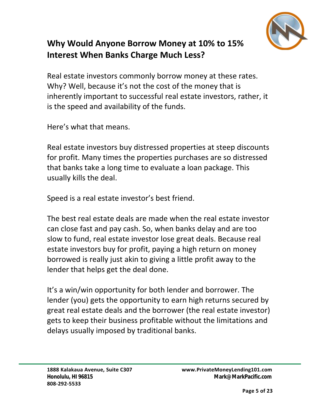

#### **Why Would Anyone Borrow Money at 10% to 15% Interest When Banks Charge Much Less?**

Real estate investors commonly borrow money at these rates. Why? Well, because it's not the cost of the money that is inherently important to successful real estate investors, rather, it is the speed and availability of the funds.

Here's what that means.

Real estate investors buy distressed properties at steep discounts for profit. Many times the properties purchases are so distressed that banks take a long time to evaluate a loan package. This usually kills the deal.

Speed is a real estate investor's best friend.

The best real estate deals are made when the real estate investor can close fast and pay cash. So, when banks delay and are too slow to fund, real estate investor lose great deals. Because real estate investors buy for profit, paying a high return on money borrowed is really just akin to giving a little profit away to the lender that helps get the deal done.

It's a win/win opportunity for both lender and borrower. The lender (you) gets the opportunity to earn high returns secured by great real estate deals and the borrower (the real estate investor) gets to keep their business profitable without the limitations and delays usually imposed by traditional banks.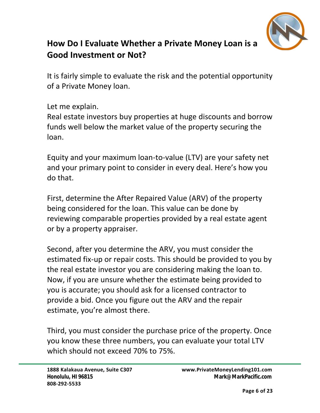

#### **How Do I Evaluate Whether a Private Money Loan is a Good Investment or Not?**

It is fairly simple to evaluate the risk and the potential opportunity of a Private Money loan.

Let me explain.

Real estate investors buy properties at huge discounts and borrow funds well below the market value of the property securing the loan.

Equity and your maximum loan-to-value (LTV) are your safety net and your primary point to consider in every deal. Here's how you do that.

First, determine the After Repaired Value (ARV) of the property being considered for the loan. This value can be done by reviewing comparable properties provided by a real estate agent or by a property appraiser.

Second, after you determine the ARV, you must consider the estimated fix-up or repair costs. This should be provided to you by the real estate investor you are considering making the loan to. Now, if you are unsure whether the estimate being provided to you is accurate; you should ask for a licensed contractor to provide a bid. Once you figure out the ARV and the repair estimate, you're almost there.

Third, you must consider the purchase price of the property. Once you know these three numbers, you can evaluate your total LTV which should not exceed 70% to 75%.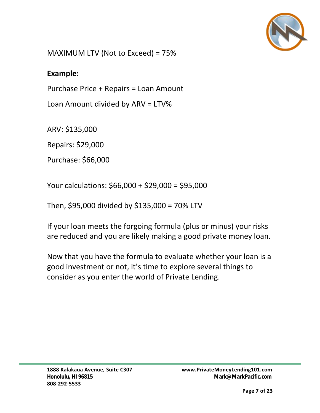

MAXIMUM LTV (Not to Exceed) = 75%

#### **Example:**

Purchase Price + Repairs = Loan Amount

Loan Amount divided by ARV = LTV%

ARV: \$135,000

Repairs: \$29,000

Purchase: \$66,000

Your calculations: \$66,000 + \$29,000 = \$95,000

Then, \$95,000 divided by \$135,000 = 70% LTV

If your loan meets the forgoing formula (plus or minus) your risks are reduced and you are likely making a good private money loan.

Now that you have the formula to evaluate whether your loan is a good investment or not, it's time to explore several things to consider as you enter the world of Private Lending.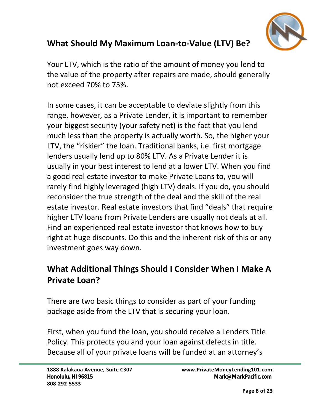

#### **What Should My Maximum Loan-to-Value (LTV) Be?**

Your LTV, which is the ratio of the amount of money you lend to the value of the property after repairs are made, should generally not exceed 70% to 75%.

In some cases, it can be acceptable to deviate slightly from this range, however, as a Private Lender, it is important to remember your biggest security (your safety net) is the fact that you lend much less than the property is actually worth. So, the higher your LTV, the "riskier" the loan. Traditional banks, i.e. first mortgage lenders usually lend up to 80% LTV. As a Private Lender it is usually in your best interest to lend at a lower LTV. When you find a good real estate investor to make Private Loans to, you will rarely find highly leveraged (high LTV) deals. If you do, you should reconsider the true strength of the deal and the skill of the real estate investor. Real estate investors that find "deals" that require higher LTV loans from Private Lenders are usually not deals at all. Find an experienced real estate investor that knows how to buy right at huge discounts. Do this and the inherent risk of this or any investment goes way down.

#### **What Additional Things Should I Consider When I Make A Private Loan?**

There are two basic things to consider as part of your funding package aside from the LTV that is securing your loan.

First, when you fund the loan, you should receive a Lenders Title Policy. This protects you and your loan against defects in title. Because all of your private loans will be funded at an attorney's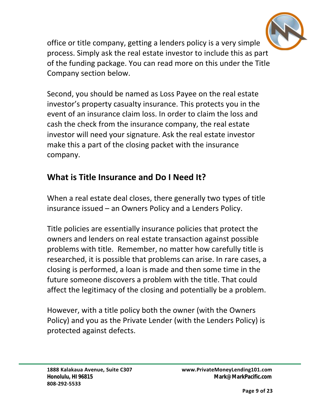

office or title company, getting a lenders policy is a very simple process. Simply ask the real estate investor to include this as part of the funding package. You can read more on this under the Title Company section below.

Second, you should be named as Loss Payee on the real estate investor's property casualty insurance. This protects you in the event of an insurance claim loss. In order to claim the loss and cash the check from the insurance company, the real estate investor will need your signature. Ask the real estate investor make this a part of the closing packet with the insurance company.

#### **What is Title Insurance and Do I Need It?**

When a real estate deal closes, there generally two types of title insurance issued – an Owners Policy and a Lenders Policy.

Title policies are essentially insurance policies that protect the owners and lenders on real estate transaction against possible problems with title. Remember, no matter how carefully title is researched, it is possible that problems can arise. In rare cases, a closing is performed, a loan is made and then some time in the future someone discovers a problem with the title. That could affect the legitimacy of the closing and potentially be a problem.

However, with a title policy both the owner (with the Owners Policy) and you as the Private Lender (with the Lenders Policy) is protected against defects.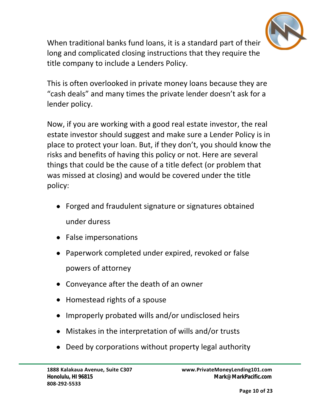

When traditional banks fund loans, it is a standard part of their long and complicated closing instructions that they require the title company to include a Lenders Policy.

This is often overlooked in private money loans because they are "cash deals" and many times the private lender doesn't ask for a lender policy.

Now, if you are working with a good real estate investor, the real estate investor should suggest and make sure a Lender Policy is in place to protect your loan. But, if they don't, you should know the risks and benefits of having this policy or not. Here are several things that could be the cause of a title defect (or problem that was missed at closing) and would be covered under the title policy:

- Forged and fraudulent signature or signatures obtained under duress
- False impersonations
- Paperwork completed under expired, revoked or false powers of attorney
- Conveyance after the death of an owner
- Homestead rights of a spouse
- Improperly probated wills and/or undisclosed heirs
- Mistakes in the interpretation of wills and/or trusts
- Deed by corporations without property legal authority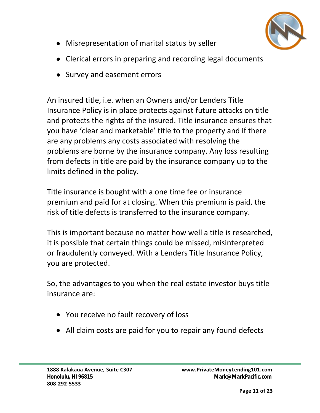

- Misrepresentation of marital status by seller
- Clerical errors in preparing and recording legal documents
- Survey and easement errors

An insured title, i.e. when an Owners and/or Lenders Title Insurance Policy is in place protects against future attacks on title you have 'clear and marketable' title to the property and if there are any problems any costs associated with resolving the problems are borne by the insurance company. Any loss resulting from defects in title are paid by the insurance company up to the limits defined in the policy. and protects the rights of the insured. Title insurance ensures that

Title insurance is bought with a one time fee or insurance premium and paid for at closing. When this premium is paid, the risk of title defects is transferred to the insurance company.

This is important because no matter how well a title is researched, it is possible that certain things could be missed, misinterpreted or fraudulently conveyed. With a Lenders Title Insurance Policy, you are protected.

So, the advantages to you when the real estate investor buys title insurance are:

- You receive no fault recovery of loss
- All claim costs are paid for you to repair any found defects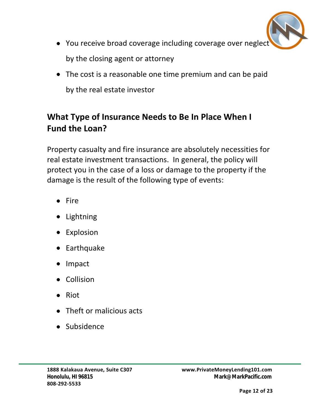

- You receive broad coverage including coverage over neglect by the closing agent or attorney
- The cost is a reasonable one time premium and can be paid by the real estate investor

#### **What Type of Insurance Needs to Be In Place When I Fund the Loan?**

Property casualty and fire insurance are absolutely necessities for real estate investment transactions. In general, the policy will protect you in the case of a loss or damage to the property if the damage is the result of the following type of events:

- $\bullet$  Fire
- Lightning
- Explosion
- Earthquake
- Impact
- Collision
- $\bullet$  Riot
- Theft or malicious acts
- Subsidence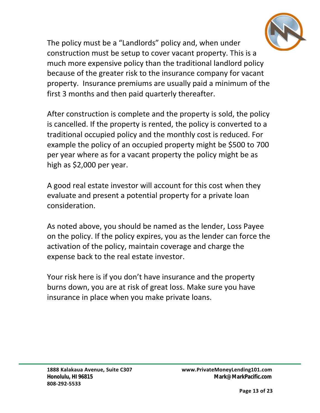

The policy must be a "Landlords" policy and, when under construction must be setup to cover vacant property. This is a much more expensive policy than the traditional landlord policy because of the greater risk to the insurance company for vacant property. Insurance premiums are usually paid a minimum of the first 3 months and then paid quarterly thereafter.

is cancelled. If the property is rented, the policy is converted to a traditional occupied policy and the monthly cost is reduced. For example the policy of an occupied property might be \$500 to 700 per year where as for a vacant property the policy might be as high as \$2,000 per year. After construction is complete and the property is sold, the policy

A good real estate investor will account for this cost when they evaluate and present a potential property for a private loan consideration.

As noted above, you should be named as the lender, Loss Payee on the policy. If the policy expires, you as the lender can force the activation of the policy, maintain coverage and charge the expense back to the real estate investor.

Your risk here is if you don't have insurance and the property burns down, you are at risk of great loss. Make sure you have insurance in place when you make private loans.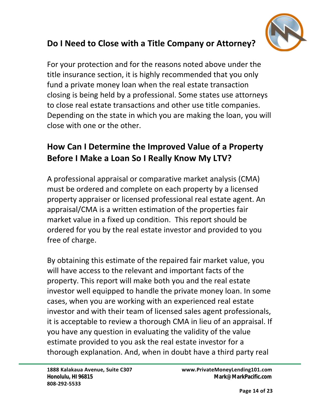

#### **Do I Need to Close with a Title Company or Attorney?**

For your protection and for the reasons noted above under the title insurance section, it is highly recommended that you only fund a private money loan when the real estate transaction closing is being held by a professional. Some states use attorneys to close real estate transactions and other use title companies. Depending on the state in which you are making the loan, you will close with one or the other.

#### **How Can I Determine the Improved Value of a Property Before I Make a Loan So I Really Know My LTV?**

A professional appraisal or comparative market analysis (CMA) must be ordered and complete on each property by a licensed property appraiser or licensed professional real estate agent. An appraisal/CMA is a written estimation of the properties fair market value in a fixed up condition. This report should be ordered for you by the real estate investor and provided to you free of charge.

By obtaining this estimate of the repaired fair market value, you will have access to the relevant and important facts of the property. This report will make both you and the real estate investor well equipped to handle the private money loan. In some cases, when you are working with an experienced real estate investor and with their team of licensed sales agent professionals, it is acceptable to review a thorough CMA in lieu of an appraisal. If you have any question in evaluating the validity of the value estimate provided to you ask the real estate investor for a thorough explanation. And, when in doubt have a third party real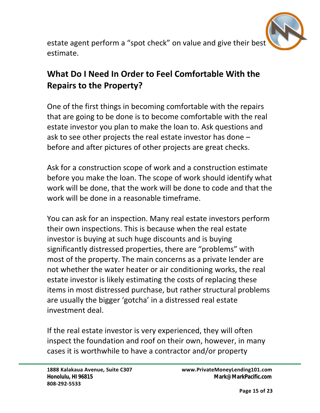

estate agent perform a "spot check" on value and give their best estimate.

#### **What Do I Need In Order to Feel Comfortable With the Repairs to the Property?**

One of the first things in becoming comfortable with the repairs that are going to be done is to become comfortable with the real estate investor you plan to make the loan to. Ask questions and ask to see other projects the real estate investor has done – before and after pictures of other projects are great checks.

Ask for a construction scope of work and a construction estimate before you make the loan. The scope of work should identify what work will be done, that the work will be done to code and that the work will be done in a reasonable timeframe.

You can ask for an inspection. Many real estate investors perform their own inspections. This is because when the real estate investor is buying at such huge discounts and is buying significantly distressed properties, there are "problems" with most of the property. The main concerns as a private lender are not whether the water heater or air conditioning works, the real estate investor is likely estimating the costs of replacing these items in most distressed purchase, but rather structural problems are usually the bigger 'gotcha' in a distressed real estate investment deal.

If the real estate investor is very experienced, they will often inspect the foundation and roof on their own, however, in many cases it is worthwhile to have a contractor and/or property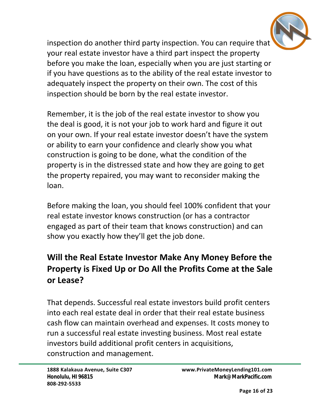

inspection do another third party inspection. You can require that your real estate investor have a third part inspect the property before you make the loan, especially when you are just starting or if you have questions as to the ability of the real estate investor to adequately inspect the property on their own. The cost of this inspection should be born by the real estate investor.

Remember, it is the job of the real estate investor to show you the deal is good, it is not your job to work hard and figure it out on your own. If your real estate investor doesn't have the system or ability to earn your confidence and clearly show you what construction is going to be done, what the condition of the property is in the distressed state and how they are going to get the property repaired, you may want to reconsider making the loan.

Before making the loan, you should feel 100% confident that your real estate investor knows construction (or has a contractor engaged as part of their team that knows construction) and can show you exactly how they'll get the job done.

#### **Will the Real Estate Investor Make Any Money Before the Property is Fixed Up or Do All the Profits Come at the Sale or Lease?**

That depends. Successful real estate investors build profit centers into each real estate deal in order that their real estate business cash flow can maintain overhead and expenses. It costs money to run a successful real estate investing business. Most real estate investors build additional profit centers in acquisitions, construction and management.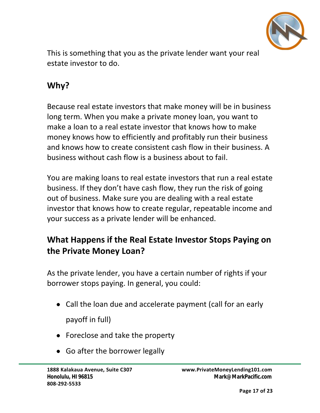

This is something that you as the private lender want your real estate investor to do.

#### **Why?**

Because real estate investors that make money will be in business long term. When you make a private money loan, you want to make a loan to a real estate investor that knows how to make money knows how to efficiently and profitably run their business and knows how to create consistent cash flow in their business. A business without cash flow is a business about to fail.

You are making loans to real estate investors that run a real estate business. If they don't have cash flow, they run the risk of going out of business. Make sure you are dealing with a real estate investor that knows how to create regular, repeatable income and your success as a private lender will be enhanced.

#### **What Happens if the Real Estate Investor Stops Paying on the Private Money Loan?**

As the private lender, you have a certain number of rights if your borrower stops paying. In general, you could:

- Call the loan due and accelerate payment (call for an early payoff in full)
- Foreclose and take the property
- Go after the borrower legally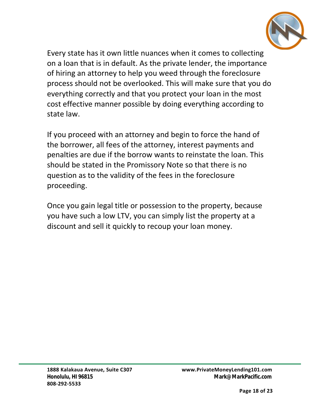

Every state has it own little nuances when it comes to collecting on a loan that is in default. As the private lender, the importance of hiring an attorney to help you weed through the foreclosure process should not be overlooked. This will make sure that you do everything correctly and that you protect your loan in the most cost effective manner possible by doing everything according to state law.

If you proceed with an attorney and begin to force the hand of the borrower, all fees of the attorney, interest payments and penalties are due if the borrow wants to reinstate the loan. This should be stated in the Promissory Note so that there is no question as to the validity of the fees in the foreclosure proceeding.

Once you gain legal title or possession to the property, because you have such a low LTV, you can simply list the property at a discount and sell it quickly to recoup your loan money.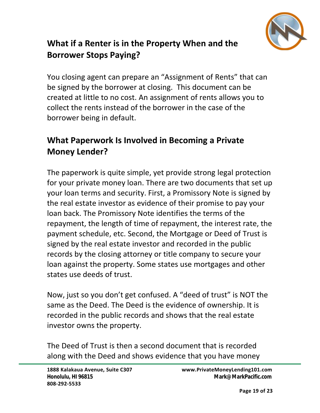

#### **What if a Renter is in the Property When and the Borrower Stops Paying?**

You closing agent can prepare an "Assignment of Rents" that can be signed by the borrower at closing. This document can be created at little to no cost. An assignment of rents allows you to collect the rents instead of the borrower in the case of the borrower being in default.

#### **What Paperwork Is Involved in Becoming a Private Money Lender?**

The paperwork is quite simple, yet provide strong legal protection for your private money loan. There are two documents that set up your loan terms and security. First, a Promissory Note is signed by the real estate investor as evidence of their promise to pay your loan back. The Promissory Note identifies the terms of the repayment, the length of time of repayment, the interest rate, the payment schedule, etc. Second, the Mortgage or Deed of Trust is signed by the real estate investor and recorded in the public records by the closing attorney or title company to secure your loan against the property. Some states use mortgages and other states use deeds of trust.

Now, just so you don't get confused. A "deed of trust" is NOT the same as the Deed. The Deed is the evidence of ownership. It is recorded in the public records and shows that the real estate investor owns the property.

The Deed of Trust is then a second document that is recorded along with the Deed and shows evidence that you have money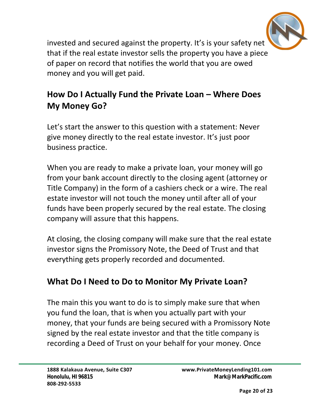

invested and secured against the property. It's is your safety net that if the real estate investor sells the property you have a piece of paper on record that notifies the world that you are owed money and you will get paid.

#### **How Do I Actually Fund the Private Loan – Where Does My Money Go?**

Let's start the answer to this question with a statement: Never give money directly to the real estate investor. It's just poor business practice.

When you are ready to make a private loan, your money will go from your bank account directly to the closing agent (attorney or Title Company) in the form of a cashiers check or a wire. The real estate investor will not touch the money until after all of your funds have been properly secured by the real estate. The closing company will assure that this happens.

At closing, the closing company will make sure that the real estate investor signs the Promissory Note, the Deed of Trust and that everything gets properly recorded and documented.

#### **What Do I Need to Do to Monitor My Private Loan?**

The main this you want to do is to simply make sure that when you fund the loan, that is when you actually part with your money, that your funds are being secured with a Promissory Note signed by the real estate investor and that the title company is recording a Deed of Trust on your behalf for your money. Once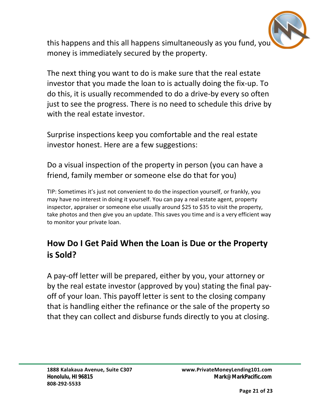

this happens and this all happens simultaneously as you fund, you money is immediately secured by the property.

The next thing you want to do is make sure that the real estate investor that you made the loan to is actually doing the fix-up. To do this, it is usually recommended to do a drive-by every so often just to see the progress. There is no need to schedule this drive by with the real estate investor.

Surprise inspections keep you comfortable and the real estate investor honest. Here are a few suggestions:

Do a visual inspection of the property in person (you can have a friend, family member or someone else do that for you)

TIP: Sometimes it's just not convenient to do the inspection yourself, or frankly, you may have no interest in doing it yourself. You can pay a real estate agent, property inspector, appraiser or someone else usually around \$25 to \$35 to visit the property, take photos and then give you an update. This saves you time and is a very efficient way to monitor your private loan.

#### **How Do I Get Paid When the Loan is Due or the Property is Sold?**

A pay-off letter will be prepared, either by you, your attorney or by the real estate investor (approved by you) stating the final payoff of your loan. This payoff letter is sent to the closing company that is handling either the refinance or the sale of the property so that they can collect and disburse funds directly to you at closing.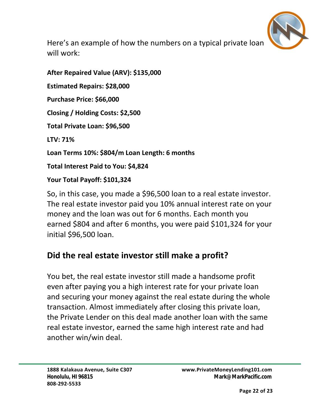

Here's an example of how the numbers on a typical private loan will work:

**After Repaired Value (ARV): \$135,000 Estimated Repairs: \$28,000 Purchase Price: \$66,000 Closing / Holding Costs: \$2,500 Total Private Loan: \$96,500 LTV: 71% Loan Terms 10%: \$804/m Loan Length: 6 months Total Interest Paid to You: \$4,824 Your Total Payoff: \$101,324**

So, in this case, you made a \$96,500 loan to a real estate investor. The real estate investor paid you 10% annual interest rate on your money and the loan was out for 6 months. Each month you earned \$804 and after 6 months, you were paid \$101,324 for your initial \$96,500 loan.

#### **Did the real estate investor still make a profit?**

You bet, the real estate investor still made a handsome profit even after paying you a high interest rate for your private loan and securing your money against the real estate during the whole transaction. Almost immediately after closing this private loan, the Private Lender on this deal made another loan with the same real estate investor, earned the same high interest rate and had another win/win deal.